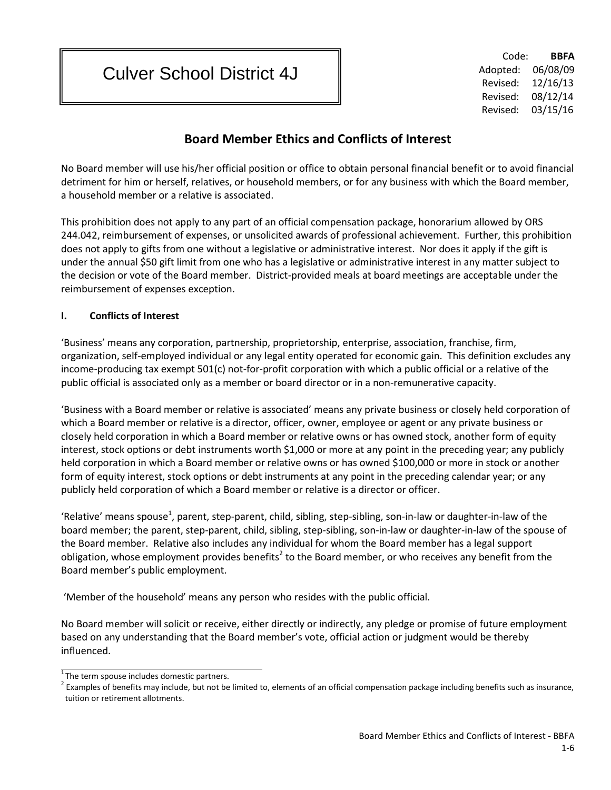# Culver School District 4J

Code: **BBFA** Adopted: 06/08/09 Revised: 12/16/13 Revised: 08/12/14 Revised: 03/15/16

# **Board Member Ethics and Conflicts of Interest**

No Board member will use his/her official position or office to obtain personal financial benefit or to avoid financial detriment for him or herself, relatives, or household members, or for any business with which the Board member, a household member or a relative is associated.

This prohibition does not apply to any part of an official compensation package, honorarium allowed by ORS 244.042, reimbursement of expenses, or unsolicited awards of professional achievement. Further, this prohibition does not apply to gifts from one without a legislative or administrative interest. Nor does it apply if the gift is under the annual \$50 gift limit from one who has a legislative or administrative interest in any matter subject to the decision or vote of the Board member. District-provided meals at board meetings are acceptable under the reimbursement of expenses exception.

#### **I. Conflicts of Interest**

'Business' means any corporation, partnership, proprietorship, enterprise, association, franchise, firm, organization, self-employed individual or any legal entity operated for economic gain. This definition excludes any income-producing tax exempt 501(c) not-for-profit corporation with which a public official or a relative of the public official is associated only as a member or board director or in a non-remunerative capacity.

'Business with a Board member or relative is associated' means any private business or closely held corporation of which a Board member or relative is a director, officer, owner, employee or agent or any private business or closely held corporation in which a Board member or relative owns or has owned stock, another form of equity interest, stock options or debt instruments worth \$1,000 or more at any point in the preceding year; any publicly held corporation in which a Board member or relative owns or has owned \$100,000 or more in stock or another form of equity interest, stock options or debt instruments at any point in the preceding calendar year; or any publicly held corporation of which a Board member or relative is a director or officer.

'Relative' means spouse<sup>1</sup>, parent, step-parent, child, sibling, step-sibling, son-in-law or daughter-in-law of the board member; the parent, step-parent, child, sibling, step-sibling, son-in-law or daughter-in-law of the spouse of the Board member. Relative also includes any individual for whom the Board member has a legal support obligation, whose employment provides benefits<sup>2</sup> to the Board member, or who receives any benefit from the Board member's public employment.

'Member of the household' means any person who resides with the public official.

No Board member will solicit or receive, either directly or indirectly, any pledge or promise of future employment based on any understanding that the Board member's vote, official action or judgment would be thereby influenced.

 $\overline{1}$ The term spouse includes domestic partners.

 $2$  Examples of benefits may include, but not be limited to, elements of an official compensation package including benefits such as insurance, tuition or retirement allotments.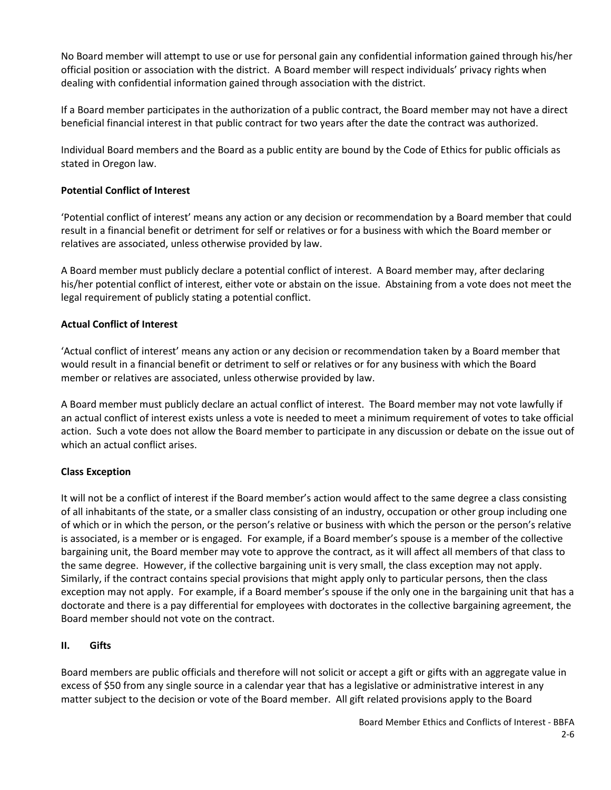No Board member will attempt to use or use for personal gain any confidential information gained through his/her official position or association with the district. A Board member will respect individuals' privacy rights when dealing with confidential information gained through association with the district.

If a Board member participates in the authorization of a public contract, the Board member may not have a direct beneficial financial interest in that public contract for two years after the date the contract was authorized.

Individual Board members and the Board as a public entity are bound by the Code of Ethics for public officials as stated in Oregon law.

#### **Potential Conflict of Interest**

'Potential conflict of interest' means any action or any decision or recommendation by a Board member that could result in a financial benefit or detriment for self or relatives or for a business with which the Board member or relatives are associated, unless otherwise provided by law.

A Board member must publicly declare a potential conflict of interest. A Board member may, after declaring his/her potential conflict of interest, either vote or abstain on the issue. Abstaining from a vote does not meet the legal requirement of publicly stating a potential conflict.

#### **Actual Conflict of Interest**

'Actual conflict of interest' means any action or any decision or recommendation taken by a Board member that would result in a financial benefit or detriment to self or relatives or for any business with which the Board member or relatives are associated, unless otherwise provided by law.

A Board member must publicly declare an actual conflict of interest. The Board member may not vote lawfully if an actual conflict of interest exists unless a vote is needed to meet a minimum requirement of votes to take official action. Such a vote does not allow the Board member to participate in any discussion or debate on the issue out of which an actual conflict arises.

### **Class Exception**

It will not be a conflict of interest if the Board member's action would affect to the same degree a class consisting of all inhabitants of the state, or a smaller class consisting of an industry, occupation or other group including one of which or in which the person, or the person's relative or business with which the person or the person's relative is associated, is a member or is engaged. For example, if a Board member's spouse is a member of the collective bargaining unit, the Board member may vote to approve the contract, as it will affect all members of that class to the same degree. However, if the collective bargaining unit is very small, the class exception may not apply. Similarly, if the contract contains special provisions that might apply only to particular persons, then the class exception may not apply. For example, if a Board member's spouse if the only one in the bargaining unit that has a doctorate and there is a pay differential for employees with doctorates in the collective bargaining agreement, the Board member should not vote on the contract.

#### **II. Gifts**

Board members are public officials and therefore will not solicit or accept a gift or gifts with an aggregate value in excess of \$50 from any single source in a calendar year that has a legislative or administrative interest in any matter subject to the decision or vote of the Board member. All gift related provisions apply to the Board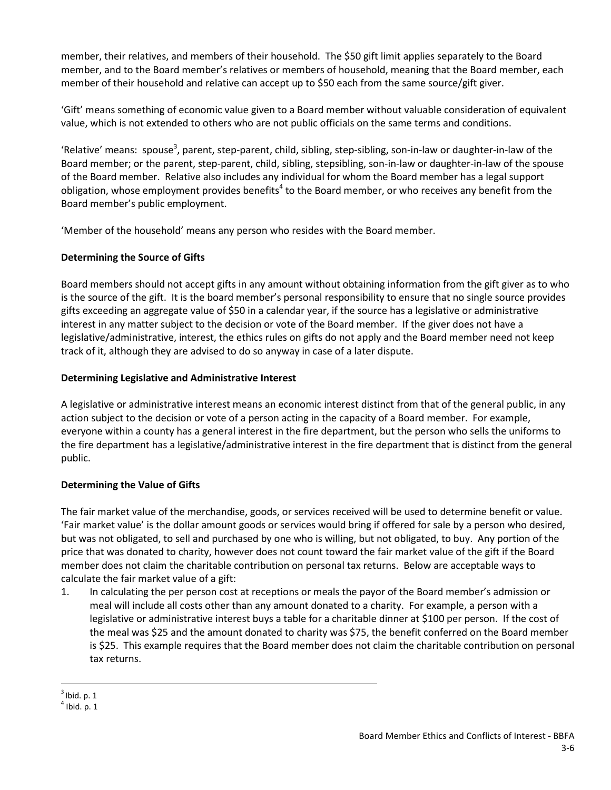member, their relatives, and members of their household. The \$50 gift limit applies separately to the Board member, and to the Board member's relatives or members of household, meaning that the Board member, each member of their household and relative can accept up to \$50 each from the same source/gift giver.

'Gift' means something of economic value given to a Board member without valuable consideration of equivalent value, which is not extended to others who are not public officials on the same terms and conditions.

'Relative' means: spouse<sup>3</sup>, parent, step-parent, child, sibling, step-sibling, son-in-law or daughter-in-law of the Board member; or the parent, step-parent, child, sibling, stepsibling, son-in-law or daughter-in-law of the spouse of the Board member. Relative also includes any individual for whom the Board member has a legal support obligation, whose employment provides benefits<sup>4</sup> to the Board member, or who receives any benefit from the Board member's public employment.

'Member of the household' means any person who resides with the Board member.

### **Determining the Source of Gifts**

Board members should not accept gifts in any amount without obtaining information from the gift giver as to who is the source of the gift. It is the board member's personal responsibility to ensure that no single source provides gifts exceeding an aggregate value of \$50 in a calendar year, if the source has a legislative or administrative interest in any matter subject to the decision or vote of the Board member. If the giver does not have a legislative/administrative, interest, the ethics rules on gifts do not apply and the Board member need not keep track of it, although they are advised to do so anyway in case of a later dispute.

### **Determining Legislative and Administrative Interest**

A legislative or administrative interest means an economic interest distinct from that of the general public, in any action subject to the decision or vote of a person acting in the capacity of a Board member. For example, everyone within a county has a general interest in the fire department, but the person who sells the uniforms to the fire department has a legislative/administrative interest in the fire department that is distinct from the general public.

## **Determining the Value of Gifts**

The fair market value of the merchandise, goods, or services received will be used to determine benefit or value. 'Fair market value' is the dollar amount goods or services would bring if offered for sale by a person who desired, but was not obligated, to sell and purchased by one who is willing, but not obligated, to buy. Any portion of the price that was donated to charity, however does not count toward the fair market value of the gift if the Board member does not claim the charitable contribution on personal tax returns. Below are acceptable ways to calculate the fair market value of a gift:

1. In calculating the per person cost at receptions or meals the payor of the Board member's admission or meal will include all costs other than any amount donated to a charity. For example, a person with a legislative or administrative interest buys a table for a charitable dinner at \$100 per person. If the cost of the meal was \$25 and the amount donated to charity was \$75, the benefit conferred on the Board member is \$25. This example requires that the Board member does not claim the charitable contribution on personal tax returns.

 $3$  Ibid. p. 1

 $<sup>4</sup>$  Ibid. p. 1</sup>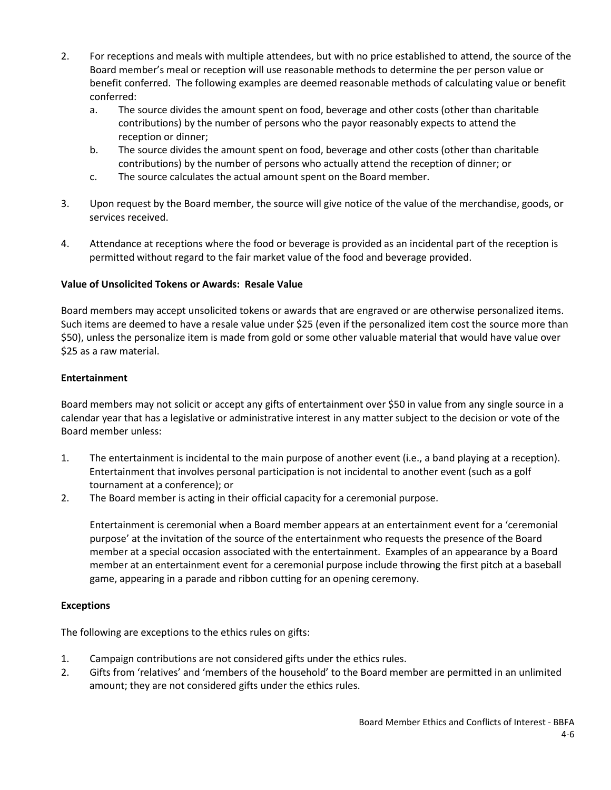- 2. For receptions and meals with multiple attendees, but with no price established to attend, the source of the Board member's meal or reception will use reasonable methods to determine the per person value or benefit conferred. The following examples are deemed reasonable methods of calculating value or benefit conferred:
	- a. The source divides the amount spent on food, beverage and other costs (other than charitable contributions) by the number of persons who the payor reasonably expects to attend the reception or dinner;
	- b. The source divides the amount spent on food, beverage and other costs (other than charitable contributions) by the number of persons who actually attend the reception of dinner; or
	- c. The source calculates the actual amount spent on the Board member.
- 3. Upon request by the Board member, the source will give notice of the value of the merchandise, goods, or services received.
- 4. Attendance at receptions where the food or beverage is provided as an incidental part of the reception is permitted without regard to the fair market value of the food and beverage provided.

### **Value of Unsolicited Tokens or Awards: Resale Value**

Board members may accept unsolicited tokens or awards that are engraved or are otherwise personalized items. Such items are deemed to have a resale value under \$25 (even if the personalized item cost the source more than \$50), unless the personalize item is made from gold or some other valuable material that would have value over \$25 as a raw material.

### **Entertainment**

Board members may not solicit or accept any gifts of entertainment over \$50 in value from any single source in a calendar year that has a legislative or administrative interest in any matter subject to the decision or vote of the Board member unless:

- 1. The entertainment is incidental to the main purpose of another event (i.e., a band playing at a reception). Entertainment that involves personal participation is not incidental to another event (such as a golf tournament at a conference); or
- 2. The Board member is acting in their official capacity for a ceremonial purpose.

Entertainment is ceremonial when a Board member appears at an entertainment event for a 'ceremonial purpose' at the invitation of the source of the entertainment who requests the presence of the Board member at a special occasion associated with the entertainment. Examples of an appearance by a Board member at an entertainment event for a ceremonial purpose include throwing the first pitch at a baseball game, appearing in a parade and ribbon cutting for an opening ceremony.

### **Exceptions**

The following are exceptions to the ethics rules on gifts:

- 1. Campaign contributions are not considered gifts under the ethics rules.
- 2. Gifts from 'relatives' and 'members of the household' to the Board member are permitted in an unlimited amount; they are not considered gifts under the ethics rules.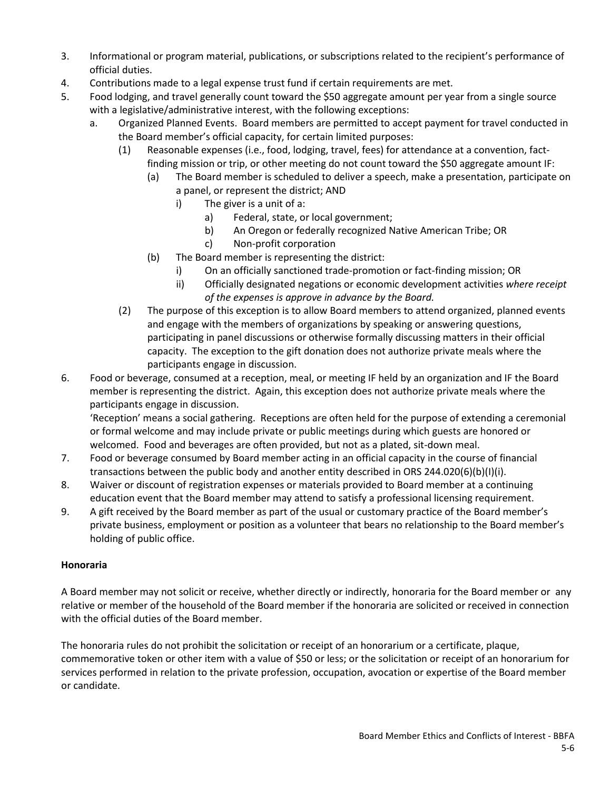- 3. Informational or program material, publications, or subscriptions related to the recipient's performance of official duties.
- 4. Contributions made to a legal expense trust fund if certain requirements are met.
- 5. Food lodging, and travel generally count toward the \$50 aggregate amount per year from a single source with a legislative/administrative interest, with the following exceptions:
	- a. Organized Planned Events. Board members are permitted to accept payment for travel conducted in the Board member's official capacity, for certain limited purposes:
		- (1) Reasonable expenses (i.e., food, lodging, travel, fees) for attendance at a convention, factfinding mission or trip, or other meeting do not count toward the \$50 aggregate amount IF:
			- (a) The Board member is scheduled to deliver a speech, make a presentation, participate on a panel, or represent the district; AND
				- i) The giver is a unit of a:
					- a) Federal, state, or local government;
					- b) An Oregon or federally recognized Native American Tribe; OR
					- c) Non-profit corporation
			- (b) The Board member is representing the district:
				- i) On an officially sanctioned trade-promotion or fact-finding mission; OR
				- ii) Officially designated negations or economic development activities *where receipt of the expenses is approve in advance by the Board.*
		- (2) The purpose of this exception is to allow Board members to attend organized, planned events and engage with the members of organizations by speaking or answering questions, participating in panel discussions or otherwise formally discussing matters in their official capacity. The exception to the gift donation does not authorize private meals where the participants engage in discussion.
- 6. Food or beverage, consumed at a reception, meal, or meeting IF held by an organization and IF the Board member is representing the district. Again, this exception does not authorize private meals where the participants engage in discussion.

'Reception' means a social gathering. Receptions are often held for the purpose of extending a ceremonial or formal welcome and may include private or public meetings during which guests are honored or welcomed. Food and beverages are often provided, but not as a plated, sit-down meal.

- 7. Food or beverage consumed by Board member acting in an official capacity in the course of financial transactions between the public body and another entity described in ORS 244.020(6)(b)(I)(i).
- 8. Waiver or discount of registration expenses or materials provided to Board member at a continuing education event that the Board member may attend to satisfy a professional licensing requirement.
- 9. A gift received by the Board member as part of the usual or customary practice of the Board member's private business, employment or position as a volunteer that bears no relationship to the Board member's holding of public office.

### **Honoraria**

A Board member may not solicit or receive, whether directly or indirectly, honoraria for the Board member or any relative or member of the household of the Board member if the honoraria are solicited or received in connection with the official duties of the Board member.

The honoraria rules do not prohibit the solicitation or receipt of an honorarium or a certificate, plaque, commemorative token or other item with a value of \$50 or less; or the solicitation or receipt of an honorarium for services performed in relation to the private profession, occupation, avocation or expertise of the Board member or candidate.